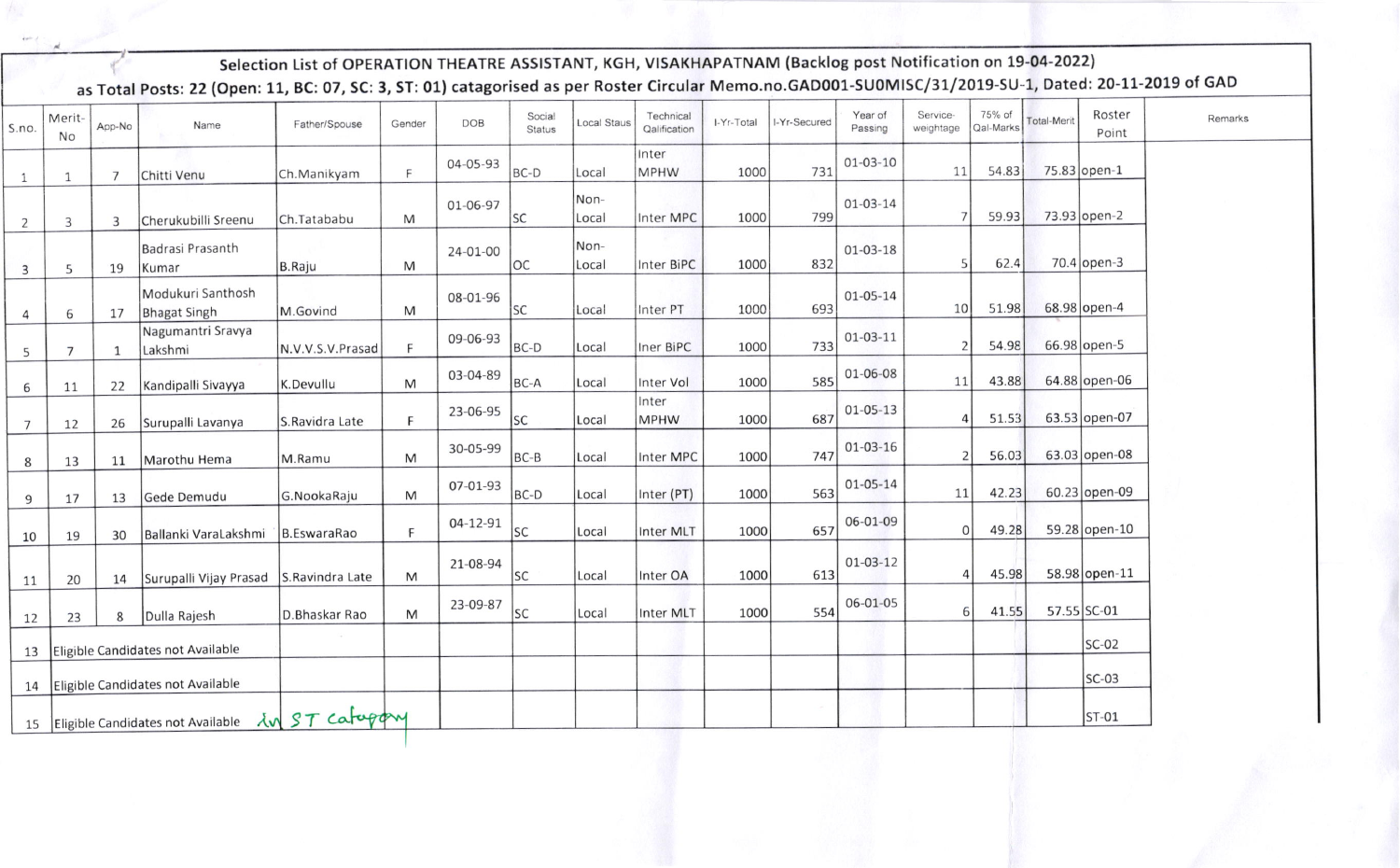Selection List of OPERATION THEATRE ASSISTANT, KGH, VISAKHAPATNAM (Backlog post Notification on 19-04-2022) as Total Posts: 22 (Open: 11, BC: 07, SC: 3, ST: 01) catagorised as per Roster Circular Memo.no.GAD001-SU0MISC/31/2019-SU-1, Dated: 20-11-2019 of GAD

| S.no.                                                 | Merit-<br>No   | App-No         | Name                                     | Father/Spouse    | Gender | <b>DOB</b> | Social<br><b>Status</b> | Local Staus   | Technical<br>Qalification | I-Yr-Total | I-Yr-Secured | Year of<br>Passing | Service-<br>weightage | 75% of<br>Qal-Marks | <b>Total-Merit</b> | Roster<br>Point | Remarks |
|-------------------------------------------------------|----------------|----------------|------------------------------------------|------------------|--------|------------|-------------------------|---------------|---------------------------|------------|--------------|--------------------|-----------------------|---------------------|--------------------|-----------------|---------|
| $\mathbf{1}$                                          | $\mathbf{1}$   | $\overline{7}$ | Chitti Venu                              | Ch.Manikyam      | F      | 04-05-93   | BC-D                    | Local         | Inter<br>MPHW             | 1000       | 731          | $01 - 03 - 10$     | 11                    | 54.83               |                    | 75.83 open-1    |         |
| $\overline{2}$                                        | 3              | 3              | Cherukubilli Sreenu                      | Ch.Tatababu      | M      | 01-06-97   | <b>SC</b>               | Non-<br>Local | Inter MPC                 | 1000       | 799          | $01 - 03 - 14$     | 7                     | 59.93               |                    | 73.93 open-2    |         |
| $\overline{3}$                                        | 5              | 19             | Badrasi Prasanth<br>Kumar                | B.Raju           | M      | 24-01-00   | <b>OC</b>               | Non-<br>Local | Inter BiPC                | 1000       | 832          | $01 - 03 - 18$     | 5                     | 62.4                |                    | $70.4$ open-3   |         |
| $\overline{4}$                                        | 6              | 17             | Modukuri Santhosh<br><b>Bhagat Singh</b> | M.Govind         | M      | 08-01-96   | <b>SC</b>               | Local         | Inter PT                  | 1000       | 693          | 01-05-14           | 10                    | 51.98               |                    | 68.98 open-4    |         |
| 5                                                     | $\overline{7}$ | 1              | Nagumantri Sravya<br>Lakshmi             | N.V.V.S.V.Prasad | F      | 09-06-93   | BC-D                    | Local         | Iner BiPC                 | 1000       | 733          | $01-03-11$         | 2                     | 54.98               |                    | 66.98 open-5    |         |
| 6                                                     | 11             | 22             | Kandipalli Sivayya                       | K.Devullu        | M      | 03-04-89   | BC-A                    | Local         | Inter Vol                 | 1000       | 585          | 01-06-08           | 11                    | 43.88               |                    | 64.88 open-06   |         |
| $\overline{7}$                                        | 12             | 26             | Surupalli Lavanya                        | S.Ravidra Late   | E      | 23-06-95   | <b>SC</b>               | Local         | Inter<br>MPHW             | 1000       | 687          | 01-05-13           | 4                     | 51.53               |                    | 63.53 open-07   |         |
| 8                                                     | 13             | 11             | Marothu Hema                             | M.Ramu           | M      | 30-05-99   | $BC-B$                  | Local         | Inter MPC                 | 1000       | 747          | 01-03-16           | 2                     | 56.03               |                    | 63.03 open-08   |         |
| 9                                                     | 17             | 13             | Gede Demudu                              | G.NookaRaju      | M      | 07-01-93   | $BC-D$                  | Local         | Inter (PT)                | 1000       | 563          | 01-05-14           | 11                    | 42.23               |                    | 60.23 open-09   |         |
| 10                                                    | 19             | 30             | Ballanki VaraLakshmi                     | B.EswaraRao      | F      | 04-12-91   | <b>SC</b>               | Local         | Inter MLT                 | 1000       | 657          | 06-01-09           | 0                     | 49.28               |                    | 59.28 open-10   |         |
| 11                                                    | 20             | 14             | Surupalli Vijay Prasad                   | S.Ravindra Late  | M      | 21-08-94   | SC                      | Local         | Inter OA                  | 1000       | 613          | $01-03-12$         | 4                     | 45.98               |                    | 58.98 open-11   |         |
| 12                                                    | 23             | 8              | Dulla Rajesh                             | D.Bhaskar Rao    | M      | 23-09-87   | SC                      | Local         | Inter MLT                 | 1000       | 554          | 06-01-05           | $6 \overline{6}$      | 41.55               |                    | 57.55 SC-01     |         |
| 13                                                    |                |                | Eligible Candidates not Available        |                  |        |            |                         |               |                           |            |              |                    |                       |                     |                    | $SC-02$         |         |
| 14                                                    |                |                | Eligible Candidates not Available        |                  |        |            |                         |               |                           |            |              |                    |                       |                     |                    | $SC-03$         |         |
| Eligible Candidates not Available Lv ST Cafupoy<br>15 |                |                |                                          |                  |        |            |                         |               |                           |            |              |                    |                       |                     |                    | $ST-01$         |         |